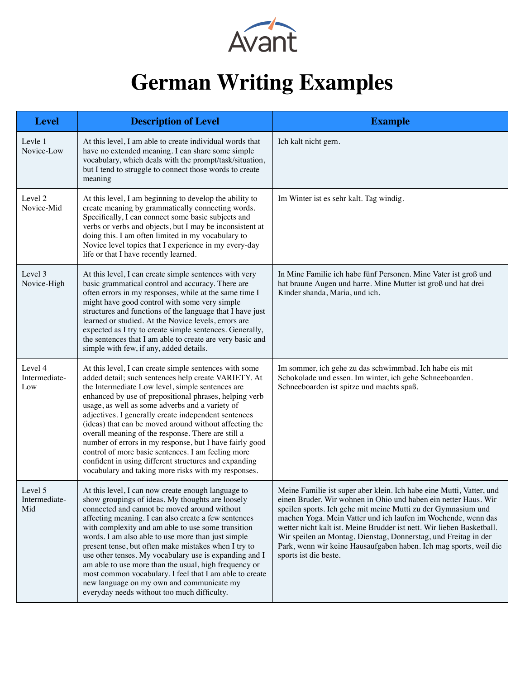

## **German Writing Examples**

| <b>Level</b>                    | <b>Description of Level</b>                                                                                                                                                                                                                                                                                                                                                                                                                                                                                                                                                                                                                                                              | <b>Example</b>                                                                                                                                                                                                                                                                                                                                                                                                                                                                                                      |
|---------------------------------|------------------------------------------------------------------------------------------------------------------------------------------------------------------------------------------------------------------------------------------------------------------------------------------------------------------------------------------------------------------------------------------------------------------------------------------------------------------------------------------------------------------------------------------------------------------------------------------------------------------------------------------------------------------------------------------|---------------------------------------------------------------------------------------------------------------------------------------------------------------------------------------------------------------------------------------------------------------------------------------------------------------------------------------------------------------------------------------------------------------------------------------------------------------------------------------------------------------------|
| Levle 1<br>Novice-Low           | At this level, I am able to create individual words that<br>have no extended meaning. I can share some simple<br>vocabulary, which deals with the prompt/task/situation,<br>but I tend to struggle to connect those words to create<br>meaning                                                                                                                                                                                                                                                                                                                                                                                                                                           | Ich kalt nicht gern.                                                                                                                                                                                                                                                                                                                                                                                                                                                                                                |
| Level 2<br>Novice-Mid           | At this level, I am beginning to develop the ability to<br>create meaning by grammatically connecting words.<br>Specifically, I can connect some basic subjects and<br>verbs or verbs and objects, but I may be inconsistent at<br>doing this. I am often limited in my vocabulary to<br>Novice level topics that I experience in my every-day<br>life or that I have recently learned.                                                                                                                                                                                                                                                                                                  | Im Winter ist es sehr kalt. Tag windig.                                                                                                                                                                                                                                                                                                                                                                                                                                                                             |
| Level 3<br>Novice-High          | At this level, I can create simple sentences with very<br>basic grammatical control and accuracy. There are<br>often errors in my responses, while at the same time I<br>might have good control with some very simple<br>structures and functions of the language that I have just<br>learned or studied. At the Novice levels, errors are<br>expected as I try to create simple sentences. Generally,<br>the sentences that I am able to create are very basic and<br>simple with few, if any, added details.                                                                                                                                                                          | In Mine Familie ich habe fünf Personen. Mine Vater ist groß und<br>hat braune Augen und harre. Mine Mutter ist groß und hat drei<br>Kinder shanda, Maria, und ich.                                                                                                                                                                                                                                                                                                                                                  |
| Level 4<br>Intermediate-<br>Low | At this level, I can create simple sentences with some<br>added detail; such sentences help create VARIETY. At<br>the Intermediate Low level, simple sentences are<br>enhanced by use of prepositional phrases, helping verb<br>usage, as well as some adverbs and a variety of<br>adjectives. I generally create independent sentences<br>(ideas) that can be moved around without affecting the<br>overall meaning of the response. There are still a<br>number of errors in my response, but I have fairly good<br>control of more basic sentences. I am feeling more<br>confident in using different structures and expanding<br>vocabulary and taking more risks with my responses. | Im sommer, ich gehe zu das schwimmbad. Ich habe eis mit<br>Schokolade und essen. Im winter, ich gehe Schneeboarden.<br>Schneeboarden ist spitze und machts spaß.                                                                                                                                                                                                                                                                                                                                                    |
| Level 5<br>Intermediate-<br>Mid | At this level, I can now create enough language to<br>show groupings of ideas. My thoughts are loosely<br>connected and cannot be moved around without<br>affecting meaning. I can also create a few sentences<br>with complexity and am able to use some transition<br>words. I am also able to use more than just simple<br>present tense, but often make mistakes when I try to<br>use other tenses. My vocabulary use is expanding and I<br>am able to use more than the usual, high frequency or<br>most common vocabulary. I feel that I am able to create<br>new language on my own and communicate my<br>everyday needs without too much difficulty.                             | Meine Familie ist super aber klein. Ich habe eine Mutti, Vatter, und<br>einen Bruder. Wir wohnen in Ohio und haben ein netter Haus. Wir<br>speilen sports. Ich gehe mit meine Mutti zu der Gymnasium und<br>machen Yoga. Mein Vatter und ich laufen im Wochende, wenn das<br>wetter nicht kalt ist. Meine Brudder ist nett. Wir lieben Basketball.<br>Wir speilen an Montag, Dienstag, Donnerstag, und Freitag in der<br>Park, wenn wir keine Hausaufgaben haben. Ich mag sports, weil die<br>sports ist die beste. |